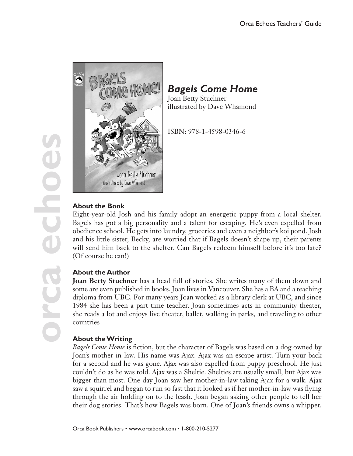

# *Bagels Come Home*

Joan Betty Stuchner illustrated by Dave Whamond

ISBN: 978-1-4598-0346-6

## **About the Book**

Eight-year-old Josh and his family adopt an energetic puppy from a local shelter. Bagels has got a big personality and a talent for escaping. He's even expelled from obedience school. He gets into laundry, groceries and even a neighbor's koi pond. Josh and his little sister, Becky, are worried that if Bagels doesn't shape up, their parents will send him back to the shelter. Can Bagels redeem himself before it's too late? (Of course he can!)

## **About the Author**

**Joan Betty Stuchner** has a head full of stories. She writes many of them down and some are even published in books. Joan lives in Vancouver. She has a BA and a teaching diploma from UBC. For many years Joan worked as a library clerk at UBC, and since 1984 she has been a part time teacher. Joan sometimes acts in community theater, she reads a lot and enjoys live theater, ballet, walking in parks, and traveling to other countries

## **About the Writing**

*Bagels Come Home* is fiction, but the character of Bagels was based on a dog owned by Joan's mother-in-law. His name was Ajax. Ajax was an escape artist. Turn your back for a second and he was gone. Ajax was also expelled from puppy preschool. He just couldn't do as he was told. Ajax was a Sheltie. Shelties are usually small, but Ajax was bigger than most. One day Joan saw her mother-in-law taking Ajax for a walk. Ajax saw a squirrel and began to run so fast that it looked as if her mother-in-law was flying through the air holding on to the leash. Joan began asking other people to tell her their dog stories. That's how Bagels was born. One of Joan's friends owns a whippet.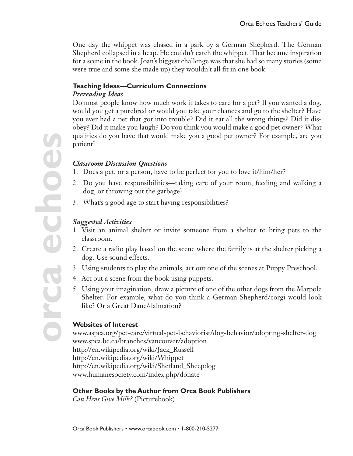One day the whippet was chased in a park by a German Shepherd. The German Shepherd collapsed in a heap. He couldn't catch the whippet. That became inspiration for a scene in the book. Joan's biggest challenge was that she had so many stories (some were true and some she made up) they wouldn't all fit in one book.

#### **Teaching Ideas—Curriculum Connections** *Prereading Ideas*

Do most people know how much work it takes to care for a pet? If you wanted a dog, would you get a purebred or would you take your chances and go to the shelter? Have you ever had a pet that got into trouble? Did it eat all the wrong things? Did it disobey? Did it make you laugh? Do you think you would make a good pet owner? What qualities do you have that would make you a good pet owner? For example, are you patient?

#### *Classroom Discussion Questions*

- 1. Does a pet, or a person, have to be perfect for you to love it/him/her?
- 2. Do you have responsibilities—taking care of your room, feeding and walking a dog, or throwing out the garbage?
- 3. What's a good age to start having responsibilities?

### *Suggested Activities*

- 1. Visit an animal shelter or invite someone from a shelter to bring pets to the classroom.
- 2. Create a radio play based on the scene where the family is at the shelter picking a dog. Use sound effects.
- 3. Using students to play the animals, act out one of the scenes at Puppy Preschool.
- 4. Act out a scene from the book using puppets.
- 5. Using your imagination, draw a picture of one of the other dogs from the Marpole Shelter. For example, what do you think a German Shepherd/corgi would look like? Or a Great Dane/dalmation?

#### **Websites of Interest**

www.aspca.org/pet-care/virtual-pet-behaviorist/dog-behavior/adopting-shelter-dog www.spca.bc.ca/branches/vancouver/adoption http://en.wikipedia.org/wiki/Jack\_Russell http://en.wikipedia.org/wiki/Whippet http://en.wikipedia.org/wiki/Shetland\_Sheepdog www.humanesociety.com/index.php/donate

#### **Other Books by the Author from Orca Book Publishers**

*Can Hens Give Milk?* (Picturebook)